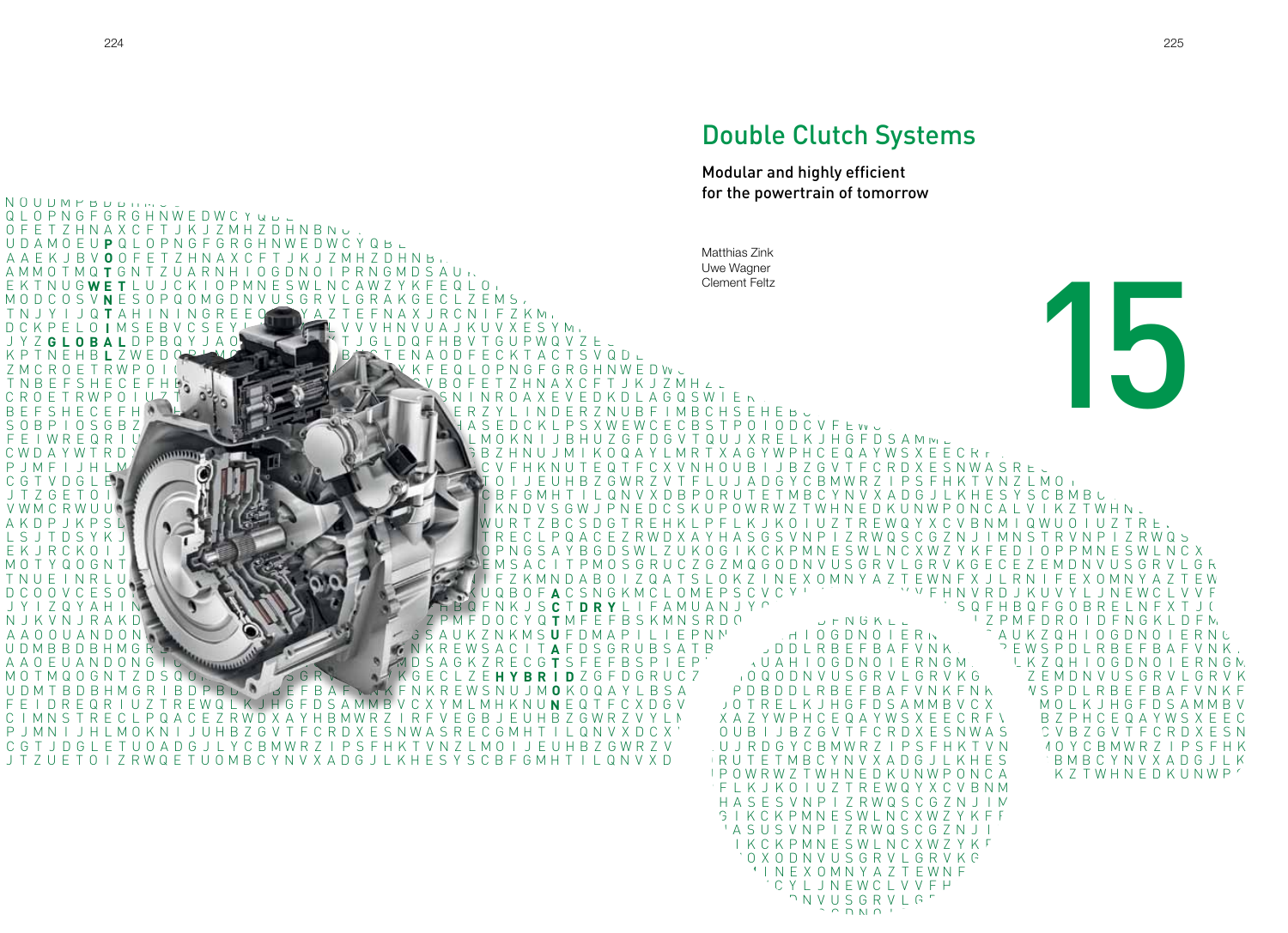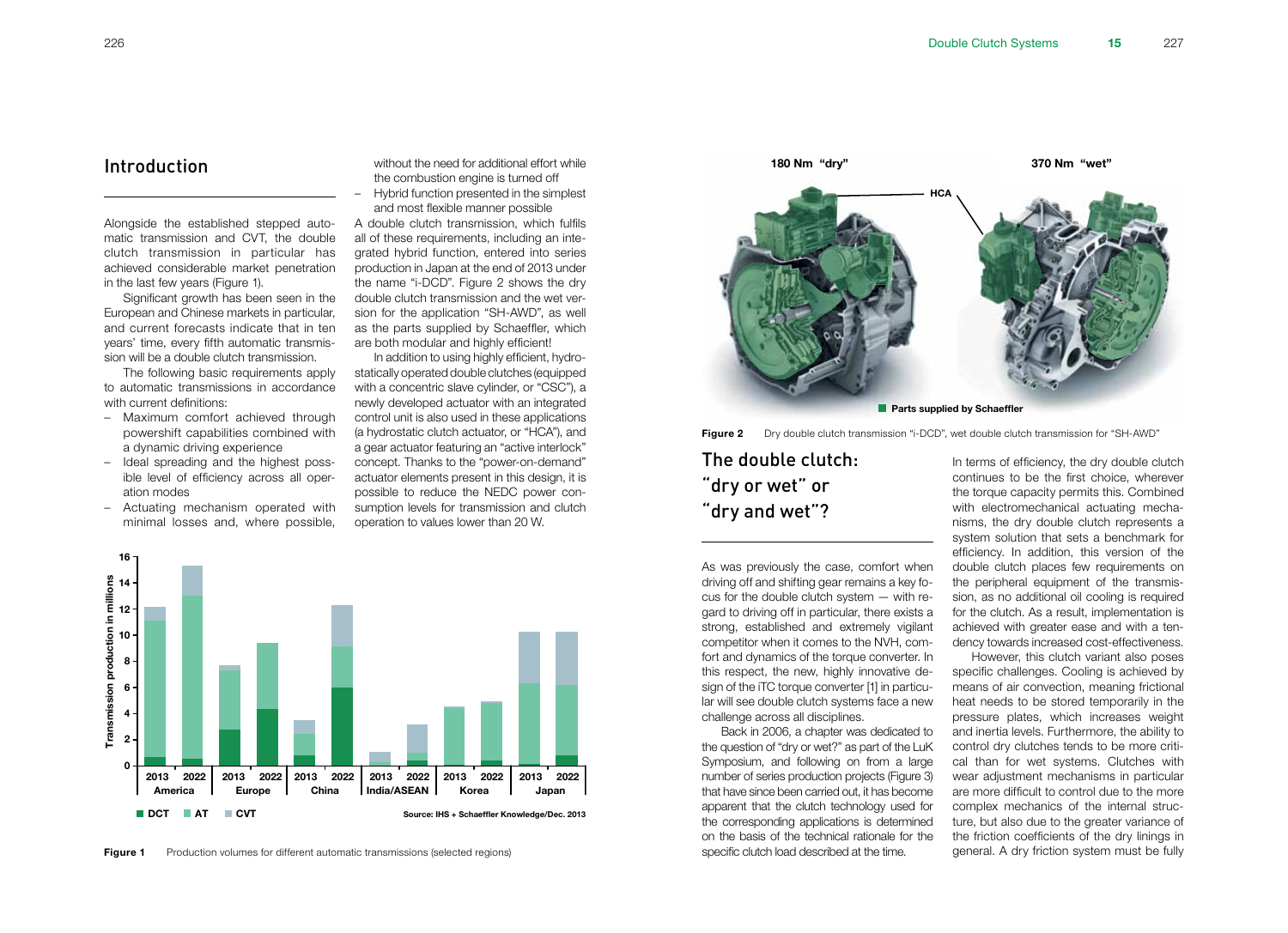## Introduction

Alongside the established stepped automatic transmission and CVT, the double clutch transmission in particular has achieved considerable market penetration in the last few years (Figure 1).

Significant growth has been seen in the European and Chinese markets in particular, and current forecasts indicate that in ten years' time, every fifth automatic transmission will be a double clutch transmission.

The following basic requirements apply to automatic transmissions in accordance with current definitions:

- Maximum comfort achieved through powershift capabilities combined with a dynamic driving experience
- Ideal spreading and the highest possible level of efficiency across all operation modes
- Actuating mechanism operated with minimal losses and, where possible,

without the need for additional effort while the combustion engine is turned off

– Hybrid function presented in the simplest and most flexible manner possible

A double clutch transmission, which fulfils all of these requirements, including an integrated hybrid function, entered into series production in Japan at the end of 2013 under the name "i-DCD". Figure 2 shows the dry double clutch transmission and the wet version for the application "SH-AWD", as well as the parts supplied by Schaeffler, which are both modular and highly efficient!

In addition to using highly efficient, hydrostatically operated double clutches (equipped with a concentric slave cylinder, or "CSC"), a newly developed actuator with an integrated control unit is also used in these applications (a hydrostatic clutch actuator, or "HCA"), and a gear actuator featuring an "active interlock" concept. Thanks to the "power-on-demand" actuator elements present in this design, it is possible to reduce the NEDC power consumption levels for transmission and clutch operation to values lower than 20 W.





Figure 2 Dry double clutch transmission "i-DCD", wet double clutch transmission for "SH-AWD"

The double clutch: "dry or wet" or "dry and wet"?

As was previously the case, comfort when driving off and shifting gear remains a key focus for the double clutch system — with regard to driving off in particular, there exists a strong, established and extremely vigilant competitor when it comes to the NVH, comfort and dynamics of the torque converter. In this respect, the new, highly innovative design of the iTC torque converter [1] in particular will see double clutch systems face a new challenge across all disciplines.

Back in 2006, a chapter was dedicated to the question of "dry or wet?" as part of the LuK Symposium, and following on from a large number of series production projects (Figure 3) that have since been carried out, it has become apparent that the clutch technology used for the corresponding applications is determined on the basis of the technical rationale for the specific clutch load described at the time.

In terms of efficiency, the dry double clutch continues to be the first choice, wherever the torque capacity permits this. Combined with electromechanical actuating mechanisms, the dry double clutch represents a system solution that sets a benchmark for efficiency. In addition, this version of the double clutch places few requirements on the peripheral equipment of the transmission, as no additional oil cooling is required for the clutch. As a result, implementation is achieved with greater ease and with a tendency towards increased cost-effectiveness.

However, this clutch variant also poses specific challenges. Cooling is achieved by means of air convection, meaning frictional heat needs to be stored temporarily in the pressure plates, which increases weight and inertia levels. Furthermore, the ability to control dry clutches tends to be more critical than for wet systems. Clutches with wear adjustment mechanisms in particular are more difficult to control due to the more complex mechanics of the internal structure, but also due to the greater variance of the friction coefficients of the dry linings in general. A dry friction system must be fully